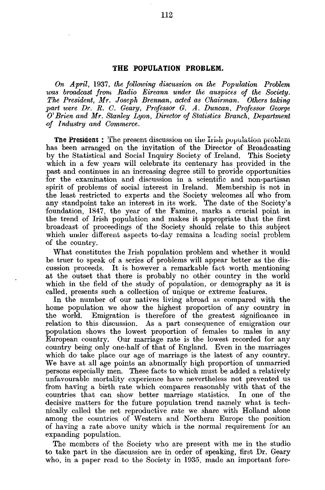## THE POPULATION PROBLEM.

*On April,* 1937, *the following discussion on the Population Problem was broadcast front Radio Eireann under the auspices of the Society. The President, Mr. Joseph Brennan, acted as Chairman. Others taking part were Dr. E. C. Geary, Professor G. A. Duncan, Professor George O'Brien and Mr. Stanley Lyon, Director of Statistics Branch, Department of Industry and Commerce.*

**The President** : The present discussion on the Irish population problem has been arranged on the invitation of the Director of Broadcasting by the Statistical and Social Inquiry Society of Ireland. This Society which in a few years will celebrate its centenary has provided in the past and continues in an increasing degree still to provide opportunities for the examination and discussion in a scientific and non-partisan spirit of problems of social interest in Ireland. Membership is not in the least restricted to experts and the Society welcomes all who from any standpoint take an interest in its work. The date of the Society's foundation, 1847, the year of the Famine, marks a crucial point in the trend of Irish population and makes it appropriate that the first broadcast of proceedings of the Society should relate to this subject which under different aspects to-day remains a leading social problem of the country.

What constitutes the Irish population problem and whether it would be truer to speak of a series of problems will appear better as the discussion proceeds. It is however a remarkable fact worth mentioning at the outset that there is probably no other country in the world which in the field of the study of population, or demography as it is called, presents such a collection of unique or extreme features.

In the number of our natives living abroad as compared with the home population we show the highest proportion of any country in the world. Emigration is therefore of the greatest significance in relation to this discussion. As a part consequence of emigration our population shows the lowest proportion of females to males in any European country. Our marriage rate is the lowest recorded for any oountry being only one-half of that of England. Even in the marriages which do take place our age of marriage is the latest of any country. We have at all age points an abnormally high proportion of unmarried persons especially men. These facts to which must be added a relatively unfavourable mortality experience have nevertheless not prevented us from having a birth rate which compares reasonably with that of the countries that can show better marriage statistics. In one of the decisive matters for the future population trend namely what is technically called the net reproductive rate we share with Holland alone among the countries of Western and Northern Europe the position of having a rate above unity which is the normal requirement for an expanding population.

The members of the Society who are present with me in the studio to take part in the discussion are in order of speaking, first Dr. Geary who, in a paper read to the Society in 1935, made an important fore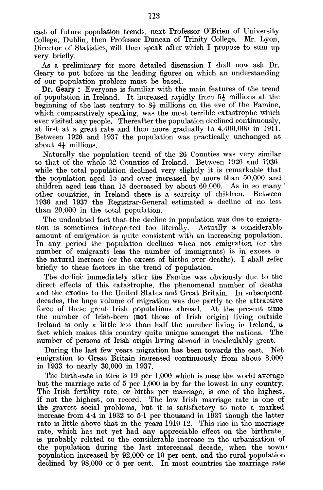cast of future population trends, next Professor O'Brien of University College, Dublin, then Professor Duncan of Trinity College. Mr. Lyon, Director of Statistics, will then speak after which I propose to sum up very briefly.

As a preliminary for more detailed discussion I shall now ask Dr. Geary to put before us the leading figures on which an understanding of our population problem must be based.

Dr. Geary : Everyone is familiar with the main features of the trend of population in Ireland. It increased rapidly from  $5\frac{1}{2}$  millions at the beginning of the last century to  $8\frac{1}{2}$  millions on the eve of the Famine, which .comparatively speaking, was the most terrible catastrophe which •ever visited any people. Thereafter the population declined continuously, at first at a great rate and then more gradually to 4,400,000 in 1911. Between 1926 and 1937 the population was practically unchanged at , about  $4\frac{1}{4}$  millions.

Naturally the population trend of the 26 Counties was very similar to that of the whole 32 Counties of Ireland. Between 1926 and 1936, while the total population declined very slightly it is remarkable that the population aged 15 and over increased by more than  $50,000$  and children aged less than 15 decreased by about 60,000. As in so many ' other countries, in Ireland there is a scarcity of children. Between 1936 and 1937 the Registrar-General estimated a decline of no less than 20,000 in the total population.

The undoubted fact that the decline in population was due to emigration is sometimes interpreted too literally. Actually a considerable amount of emigration is quite consistent with an increasing population. In any period the population declines when net emigration (or the number of emigrants less the number of immigrants) is in excess o the natural increase (or the excess of births over deaths). I shall refer briefly to these factors in the trend of population.

The decline immediately after the Famine was obviously due to the direct effects of this catastrophe, the phenomenal number of deaths and the exodus to the United States and Great Britain. In subsequent decades, the huge volume of migration was due partly to the attractive force of these great Irish populations abroad. At the present time the number of Irish-born (not those of Irish origin) living outside Ireland is only a little less than half the number living in Ireland, a fact which makes this country quite unique amongst the nations. The number of persons of Irish origin living abroad is incalculably great.

During the last few years migration has been towards the east. Net emigration to Great Britain increased continuously from about 8,000 in 1933 to nearly 30,000 in 1937.

The birth-rate in Eire is 19 per 1,000 which is near the world average but the marriage rate of 5 per 1,000 is by far the lowest in any country. The Irish fertility rate, or births per marriage, is one of the highest, if not the highest, on record. The low Irish marriage rate is one of the gravest social problems, but it is satisfactory to note a marked increase from 4-4 in 1932 to 5-1 per thousand in 1937 though the latter rate is little above that in the years 1910-12. This rise in the marriage rate, which has not yet had any appreciable effect on the birthrate, is probably related to the considerable increase in the urbanisation of the population during the last intercensal decade, when the town' population increased by 92,000 or 10 per cent, and the rural population declined by 98,000 or 5 per cent. In most countries the marriage rate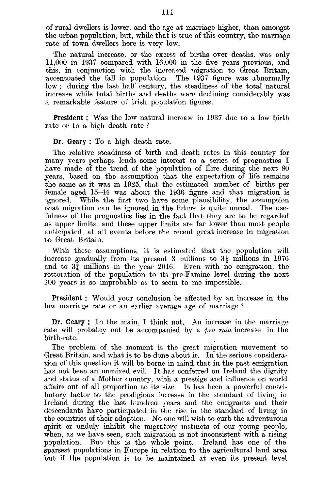of rural dwellers is lower, and the age at marriage higher, than amongst the urban population, but, while that is true of this country, the marriage rate of town dwellers here is very low.

The natural increase, or the excess of births over deaths, was only 11,000 in 1937 compared with 16,000 in the five years previous, and this, in conjunction with the increased migration to Great Britain, accentuated the fall in population. The 1937 figure was abnormally low ; during the last half century, the steadiness of the total natural increase while total births and deaths were declining considerably was a remarkable feature of Irish population figures.

**President** : Was the low natural increase in 1937 due to a low birth rate or to a high death rate ?

Dr. **Geary** : To a high death rate.

The relative steadiness of birth and death rates in this country for many years perhaps lends some interest to a series of prognostics I have made of the trend of the population of Eire during the next 80 years, based on the assumption that the expectation of life remains the same as it was in 1925, that the estimated number of births per female aged 15-44 was about the 1936 figure and that migration is ignored. While the first two have some plausibility, the assumption that migration can be ignored in the future is quite unreal. The usefulness of the prognostics lies in the fact that they are to be regarded as upper limits, and these upper limits are far lower than most people anticipated, at all events before the recent great increase in migration to Great Britain.

With these assumptions, it is estimated that the population will increase gradually from its present 3 millions to  $3\frac{1}{2}$  millions in 1976 and to  $3\frac{3}{4}$  millions in the year 2016. Even with no emigration, the restoration of the population to its pre-Famine level during the next 100 years is so improbable as to seem to me impossible.

**President :** Would your conclusion be affected by an increase in the low marriage rate or an earlier average age of marriage ?

Dr. Geary: In the main, I think not. An increase in the marriage rate will probably not be accompanied by a *pro raid* increase in the birth-rate.

The problem of the moment is the great migration movement to Great Britain, and what is to be done about it. In the serious consideration of this question it will be borne in mind that in the past emigration has not been an unmixed evil. It has conferred on Ireland the dignity and status of a Mother country, with a prestige and influence on world affairs out of all proportion to its size. It has been a powerful contributory factor to the prodigious increase in the standard of living in Ireland during the last hundred years and the emigrants and their descendants have participated in the rise in the standard of living in the countries of their adoption. No one will wish to curb the adventurous spirit or unduly inhibit the migratory instincts of our young people, when, as we have seen, such migration is not inconsistent with a rising population. But this is the whole point. Ireland has one of the sparsest populations in Europe in relation to the agricultural land area but if the population is to be maintained at even its present level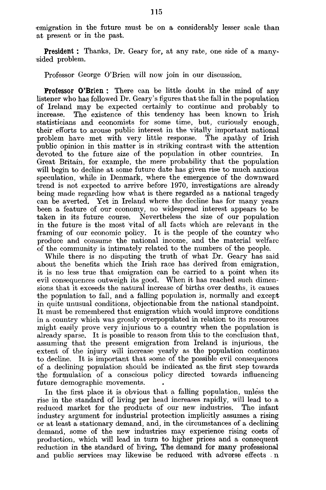emigration in the future must be on a considerably lesser scale than at present or in the past.

**President** : Thanks, Dr. Geary for, at any rate, one side of a many- ^ided problem.

Professor George O'Brien will now join in our discussion.

**Professor O'Brien** : There can be little doubt in the mind of any listener who has followed Dr. Geary's figures that the fall in the population of Ireland may be expected certainly to continue and probably to increase. The existence of this tendency has been known to Irish statisticians and economists for some time, but, curiously enough, their efforts to arouse public interest in the vitally important national problem have met with very little response. The apathy of Irish public opinion in this matter is in striking contrast with the attention devoted to the future size of the population in other countries. In Great Britain, for example, the mere probability that the population will begin to decline at some future date has given rise to much anxious speculation, while in Denmark, where the emergence of the downward trend is not expected to arrive before 1970, investigations are already being made regarding how what is there regarded as a national tragedy can be averted. Yet in Ireland where the decline has for many years been a feature of our economy, no widespread interest appears to be taken in its future course. Nevertheless the size of our population in the future is the most Vital of all facts which are relevant in the framing of our economic policy. It is the people of the country who produce and consume the national income, and the material welfare of the community is intimately related to the numbers of the people.

While there is no disputing the truth of what Dr. Geary has said .about the benefits which the Irish race has derived from emigration, it is no less true that emigration can be carried to a point when its evil consequences outweigh its good. When it has reached such dimensions that it exceeds the natural increase of births over deaths, it causes the population to fall, and a falling population is, normally and except in quite unusual conditions, objectionable from the national standpoint. It must be remembered that emigration which would improve conditions in a country which was grossly overpopulated in relation to its resources might easily prove very injurious to a country when the population is already sparse. It is possible to reason from this to the conclusion that, assuming that the present emigration from Ireland is injurious, the extent of the injury will increase yearly as the population continues to decline. It is important that some of the possible evil consequences of a declining population should be indicated as. the first step towards the formulation of a conscious policy directed towards influencing future demographic movements.

In the first place it is obvious that a falling population, unless the rise in the standard of living per head increases rapidly, will lead to a reduced market for the products of our new industries. The infant industry argument for industrial protection implicitly assumes a rising or at least a stationary demand, and, in the circumstances of a declining demand, some of the new industries may experience rising costs of production, which will lead in turn to higher prices and a consequent reduction in the standard of living. The demand for many professional and public services may likewise be reduced with adverse effects . n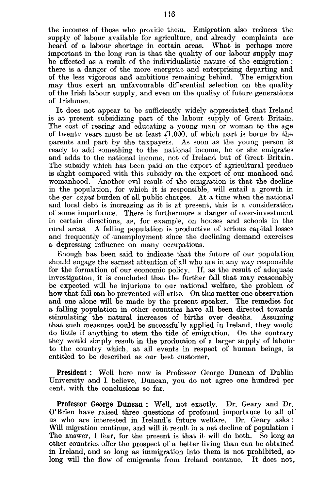the incomes of those who provide them. Emigration also reduces thesupply of labour available for agriculture, and already complaints are heard of a labour shortage in certain areas. What is perhaps more important in the long run is that the quality of our labour supply may be affected as a result of the individualistic nature of the emigration ; there is a danger of the more energetic and enterprising departing and of the less vigorous and ambitious remaining behind. The emigration may thus exert an unfavourable differential selection on the quality of the Irish labour supply, and even on the quality of future generations of Irishmen.

It does not appear to be sufficiently widely appreciated that Ireland is at present subsidizing part of the labour supply of Great Britain. The cost of rearing and educating a young man or woman to the age of twenty years must be at least  $\check{I}1,000$ , of which part is borne by the parents and part by the taxpayers. As soon as the young person is ready to add something to the national income, he or she emigrates and adds to the national income, not of Ireland but of Great Britain. The subsidy which has been paid on the export of agricultural produce is slight compared with this subsidy on the export of our manhood and womanhood. Another evil result of the emigration is that the decline in the population, for which it is responsible, will entail a growth in the *per caput* burden of all public charges. At a time when the national and local debt is increasing as it is at present, this is a consideration of some importance. There is furthermore a danger of over-investment in certain directions, as, for example, on houses and schools in the rural areas. A falling population is productive of serious capital losses and frequently of unemployment since the declining demand exercises a depressing influence on many occupations.

Enough has been said to indicate that the future of our population should engage the earnest attention of all who are in any way responsible for the formation of our economic policy. If, as the result of adequate investigation, it is concluded that the further fall that may reasonably be expected will be injurious to our national welfare, the problem of how that fall can be prevented will arise. On this matter one observation and one alone will be made by the present speaker. The remedies for a falling population in other countries have all been directed towards stimulating the natural increases of births over deaths. Assuming that such measures could be successfully applied in Ireland, they would do little if anything to stem the tide of emigration. On the contrary they would simply result in the production of a larger supply of labour to the country which, at all events in respect of human beings, is entitled to be described as our best customer.

President : Well here now is Professor George Duncan of Dublin University and I believe, Duncan, you do not agree one hundred per cent, with the conclusions so far.

Professor George Duncan : Well, not exactly. Dr. Geary and Dr. O'Brien have raised three questions of profound importance to all of us who are interested in Ireland's future welfare. Dr. Geary asks : Will migration continue, and will it result in a net decline of population ? The answer, I fear, for the present is that it will do both. So long as other countries offer the prospect of a better living than can be obtained in Ireland, and so long as immigration into them is not prohibited, so\* long will the flow of emigrants from Ireland continue. It does not,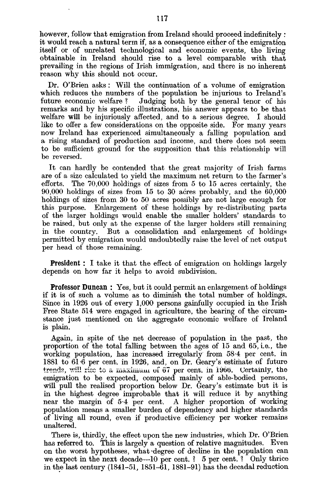however, follow that emigration from Ireland should proceed indefinitely : it would reach a natural term if, as a consequence either of the emigration itself or of unrelated technological and economic events, the living obtainable in Ireland should rise to a level comparable with that prevailing in the regions of Irish immigration, and there is no inherent reason why this should not occur.

Dr. O'Brien asks : Will the continuation of a volume of emigration which reduces the numbers of the population be injurious to Ireland's future economic welfare? Judging both by the general tenor of his Judging both by the general tenor of his remarks and by his specific illustrations, his answer appears to be that welfare **will** be injuriously affected, and to a serious degree. I should like to offer a few considerations on the opposite side. For many years now Ireland has experienced simultaneously a falling population and a rising standard of production and income, and there does not seem to be sufficient ground for the supposition that this relationship will be reversed.

It can hardly be contended that the great majority of Irish farms are of a size calculated to yield the maximum net return to the farmer's efforts. The 70,000 holdings of sizes from 5 to 15 acres certainly, the 90,000 holdings of sizes from 15 to 30 acres probably, and the 60,000 holdings of sizes from 30 to 50 acres possibly are not large enough for this purpose. Enlargement of these holdings by re-distributing parts of the larger holdings would enable the smaller holders' standards to be raised, but only at the expense of the larger holders still remaining<br>in the country. But a consolidation and enlargement of holdings But a consolidation and enlargement of holdings permitted by emigration would undoubtedly raise the level of net output per head of those remaining.

**President** : I take it that the effect of emigration on holdings largely depends on how far it helps to avoid subdivision.

**Professor Duncan** : Yes, but it could permit an enlargement of holdings if it is of such a volume as to diminish the total number of holdings. Since in 1926 out of every 1,000 persons gainfully occupied in the Irish Free State 514 were engaged in agriculture, the bearing of the circumstance just mentioned on the aggregate economic welfare of Ireland is plain.

Again, in spite of the net decrease of population in the past, the proportion of the total falling between the ages of 15 and 65, i.e., the working population, has increased irregularly from 58.4 per cent, in 1881 to  $6\overline{1} \cdot \overline{6}$  per cent, in 1926, and, on Dr. Geary's estimate of future trends, will rise to a maximum of  $67$  per cent, in 1966. Certainly, the emigration to be expected, composed mainly of able-bodied persons, will pull the realised proportion below Dr. Geary's estimate but it is in the highest degree improbable that it will reduce it by anything near the margin of 5-4 per cent. A higher proportion of working population means a smaller burden of dependency and higher standards of living all round, even if productive efficiency per worker remains unaltered.

There is, thirdly, the effect upon the new industries, which Dr. O'Brien has referred to. This is largely a question of relative magnitudes. Even on the worst hypotheses, what-degree of decline in the population can we expect in the next decade—10 per cent. ?  $5$  per cent. ? Only thrice in the last century (1841-51, 1851-61, 1881-91) has the decadal reduction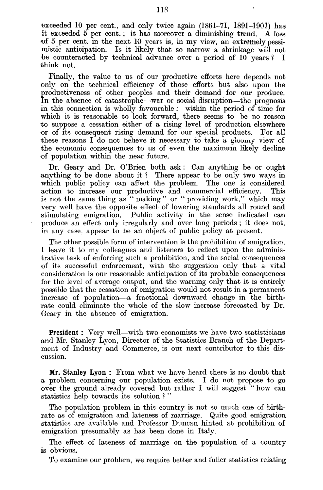exceeded 10 per cent., and only twice again (1861-71, 1891-1901) has it exceeded 5 per cent. ; it has moreover a diminishing trend. A loss of 5 per cent, in the next 10 years is, in my view, an extremely pessimistic anticipation. Is it likely that so narrow a shrinkage will not be counteracted by technical advance over a period of 10 years ? I think not.

Finally, the value to us of our productive efforts here depends not only on the technical efficiency of those efforts but also upon the productiveness of other peoples and their demand for our produce. In the absence of catastrophe—war or social disruption—the prognosis in this connection is wholly favourable : within the period of time for which it is reasonable to look forward, there seems to be no reason to suppose a cessation either of a rising level of production elsewhere or of its consequent rising demand for our special products. For all these reasons I do not believe it necessary to take a gloomy view of the economic consequences to us of even the maximum likely decline of population within the near future.

Dr. Geary and Dr. O'Brien both ask : Can anything be or ought anything to be done about it ? There appear to be only two ways in which public policy can affect the problem. The one is considered action to increase our productive and commercial efficiency. This is not the same thing as " making" or " providing work," which may very well have the opposite effect of lowering standards all round and stimulating emigration. Public activity in the sense indicated can produce an effect only irregularly and over long periods ; it does not, in any case, appear to be an object of public policy at present.

The other possible form of intervention is the prohibition of emigration. I leave it to my colleagues and listeners to reflect upon the administrative task of enforcing such a prohibition, and the social consequences of its successful enforcement, with the suggestion only that a vital consideration is our reasonable anticipation of its probable consequences for the level of average output, and the warning only that it is entirely possible that the cessation of emigration would not result in a permanent increase of population—a fractional downward change in the birthrate could eliminate the whole of the slow increase forecasted by Dr. Geary in the absence of emigration.

**President :** Very well—with two economists we have two statisticians and Mr. Stanley Lyon, Director of the Statistics Branch of the Department of Industry and Commerce, is our next contributor to this discussion.

Mr. Stanley Lyon : From what we have heard there is no doubt that a problem concerning our population exists. I do not propose to go over the ground already covered but rather I will suggest " how can statistics help towards its solution ? "

The population problem in this country is not so much one of birthrate as of emigration and lateness of marriage. Quite good emigration statistics are available and Professor Duncan hinted at prohibition of emigration presumably as has been done in Italy.

The effect of lateness of marriage on the population of a country is obvious.

To examine our problem, we require better and fuller statistics relating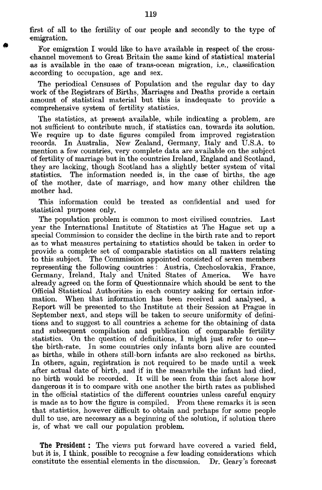first of all to the fertility of our people and secondly to the type of emigration.

For emigration I would like to have available in respect of the crossohannel movement to Great Britain the same kind of statistical material as is available in the case of trans-ocean migration, i.e., classification according to occupation, age and sex.

The periodical Censuses of Population and the regular day to day work of the Registrars of Births, Marriages and Deaths provide a certain amount of statistical material but this is inadequate to provide a comprehensive system of fertility statistics.

The statistics, at present available, while indicating a problem, are not sufficient to contribute much, if statistics can, towards its solution. We require up to date figures compiled from improved registration<br>records In Australia. New Zealand, Germany, Italy and U.S.A., to In Australia, New Zealand, Germany, Italy and U.S.A. to mention a few countries, very complete data are available on the subject of fertility of marriage but in the countries Ireland, England and Scotland, they are lacking, though Scotland has a slightly better system of vital statistics. The information needed is, in the case of births, the age of the mother, date of marriage, and how many other children the mother had.

This information could be treated as confidential and used for statistical purposes only.

The population problem is common to most civilised countries. Last year the International Institute of Statistics at The Hague set up a special Commission to consider the decline in the birth rate and to report as to what measures pertaining to statistics should be taken in order to provide a complete set of comparable statistics on all matters relating to this subject. The Commission appointed consisted of seven members representing the following countries : Austria, Czechoslovakia, France, Germany, Ireland, Italy and United States of America. We have already agreed on the form of Questionnaire which should be sent to the Official Statistical Authorities in each country asking for certain information. When that information has been received and analysed, a Report will be presented to the Institute at their Session at Prague in September next, and steps will be taken to secure uniformity of definitions and to suggest to all countries a scheme for the obtaining of data and subsequent compilation and publication of comparable fertility statistics. On the question of definitions, I might just refer to one the birth-rate. In some countries only infants born alive are counted as births, while in others still-born infants are also reckoned as births. In others, again, registration is not required to be made until a week after actual date of birth, and if in the meanwhile the infant had died, no birth would be recorded. It will be seen from this fact alone how dangerous it is to compare with one another the birth rates as published in the official statistics of the different countries unless careful enquiry is made as to how the figure is compiled. From these remarks it is seen that statistics, however difficult to obtain and perhaps for some people dull to use, are necessary as a beginning of the solution, if solution there is, of what we call our population problem.

**The** President : The views put forward have covered a varied field, but it is, I think, possible to recognise a few leading considerations which constitute the essential elements in the discussion. Dr. Geary's forecast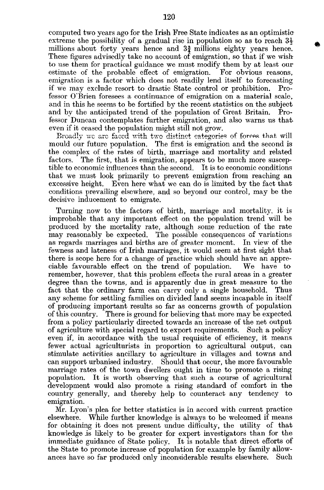computed two years ago for the Irish Free State indicates as an optimistic extreme the possibility of a gradual rise in population so as to reach  $3\frac{1}{2}$ millions about forty years hence and  $3\frac{3}{4}$  millions eighty years hence. These figures advisedly take no account of emigration, so that if we wish to use them for practical guidance we must modify them by at least our estimate of the probable effect of emigration. emigration is a factor which does not readily lend itself to forecasting if we may exclude resort to drastic State control or prohibition. Professor O'Brien foresees a continuance of emigration on a material scale, and in this he seems to be fortified by the recent statistics on the subject<br>and by the anticipated trend of the population of Great Britain. Proand by the anticipated trend of the population of Great Britain. fessor Duncan contemplates further emigration, and also warns us thateven if it ceased the population might still not grow.

Broadly we are faced with two distinct eategories of forces that will mould our future population. The first is emigration and the second is the complex of the rates of birth, marriage and mortality and related factors. The first, that is emigration, appears to be much more suscep-The first, that is emigration, appears to be much more susceptible to economic influences than the second. It is to economic conditions that we must look primarily to prevent emigration from reaching an excessive height. Even here what we can do is limited by the fact that conditions prevailing elsewhere, and so beyond our control, may be the decisive inducement to emigrate.

Turning now to the factors of birth, marriage and mortality, it is improbable that any important effect on the population trend will be produced by the mortality rate, although some reduction of the rate may reasonably be expected. The possible consequences of variations as regards marriages and births are of greater moment. In view of the fewness and lateness of Irish marriages, it would seem at first sight that there is scope here for a change of practice which should have an appreciable favourable effect on the trend of population. We have to remember, however, that this problem effects the rural areas in a greater degree than the towns, and is apparently due in great measure to the fact that the ordinary farm can carry only a single household. Thus any scheme for settling families on divided land seems incapable in itself of producing important results so far as concerns growth of population of this country. There is ground for believing that more may be expected from a policy particularly directed towards an increase of the net output of agriculture with special regard to export requirements. Such a policy even if, in accordance with the usual requisite of efficiency, it means fewer actual agriculturists in proportion to agricultural output, can stimulate activities ancillary to agriculture in villages and towns and can support urbanised industry. Should that occur, the more favourable marriage rates of the town dwellers ought in time to promote a rising population. It is worth observing that such a course of agricultural development would also promote a rising standard of comfort in the country generally, and thereby help to counteract any tendency to emigration.

Mr. Lyon's plea for better statistics is in accord with current practice elsewhere. While further knowledge is always to be welcomed if means for obtaining it does not present undue difficulty, the utility of that knowledge is likely to be greater for expert investigators than for the immediate guidance of State policy. It is notable that direct efforts of the State to promote increase of population for example by family allowances have so far produced only inconsiderable results elsewhere. Such